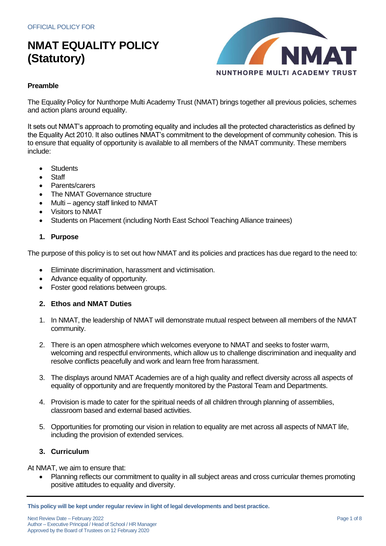

### **Preamble**

The Equality Policy for Nunthorpe Multi Academy Trust (NMAT) brings together all previous policies, schemes and action plans around equality.

It sets out NMAT's approach to promoting equality and includes all the protected characteristics as defined by the Equality Act 2010. It also outlines NMAT's commitment to the development of community cohesion. This is to ensure that equality of opportunity is available to all members of the NMAT community. These members include:

- **Students**
- **Staff**
- Parents/carers
- The NMAT Governance structure
- Multi agency staff linked to NMAT
- Visitors to NMAT
- Students on Placement (including North East School Teaching Alliance trainees)

### **1. Purpose**

The purpose of this policy is to set out how NMAT and its policies and practices has due regard to the need to:

- Eliminate discrimination, harassment and victimisation.
- Advance equality of opportunity.
- Foster good relations between groups.

## **2. Ethos and NMAT Duties**

- 1. In NMAT, the leadership of NMAT will demonstrate mutual respect between all members of the NMAT community.
- 2. There is an open atmosphere which welcomes everyone to NMAT and seeks to foster warm, welcoming and respectful environments, which allow us to challenge discrimination and inequality and resolve conflicts peacefully and work and learn free from harassment.
- 3. The displays around NMAT Academies are of a high quality and reflect diversity across all aspects of equality of opportunity and are frequently monitored by the Pastoral Team and Departments.
- 4. Provision is made to cater for the spiritual needs of all children through planning of assemblies, classroom based and external based activities.
- 5. Opportunities for promoting our vision in relation to equality are met across all aspects of NMAT life, including the provision of extended services.

## **3. Curriculum**

At NMAT, we aim to ensure that:

• Planning reflects our commitment to quality in all subject areas and cross curricular themes promoting positive attitudes to equality and diversity.

**This policy will be kept under regular review in light of legal developments and best practice.**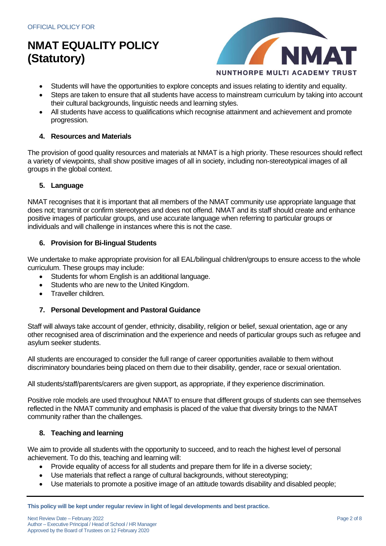

- Students will have the opportunities to explore concepts and issues relating to identity and equality.
- Steps are taken to ensure that all students have access to mainstream curriculum by taking into account their cultural backgrounds, linguistic needs and learning styles.
- All students have access to qualifications which recognise attainment and achievement and promote progression.

#### **4. Resources and Materials**

The provision of good quality resources and materials at NMAT is a high priority. These resources should reflect a variety of viewpoints, shall show positive images of all in society, including non-stereotypical images of all groups in the global context.

### **5. Language**

NMAT recognises that it is important that all members of the NMAT community use appropriate language that does not; transmit or confirm stereotypes and does not offend. NMAT and its staff should create and enhance positive images of particular groups, and use accurate language when referring to particular groups or individuals and will challenge in instances where this is not the case.

#### **6. Provision for Bi-lingual Students**

We undertake to make appropriate provision for all EAL/bilingual children/groups to ensure access to the whole curriculum. These groups may include:

- Students for whom English is an additional language.
- Students who are new to the United Kingdom.
- Traveller children.

### **7. Personal Development and Pastoral Guidance**

Staff will always take account of gender, ethnicity, disability, religion or belief, sexual orientation, age or any other recognised area of discrimination and the experience and needs of particular groups such as refugee and asylum seeker students.

All students are encouraged to consider the full range of career opportunities available to them without discriminatory boundaries being placed on them due to their disability, gender, race or sexual orientation.

All students/staff/parents/carers are given support, as appropriate, if they experience discrimination.

Positive role models are used throughout NMAT to ensure that different groups of students can see themselves reflected in the NMAT community and emphasis is placed of the value that diversity brings to the NMAT community rather than the challenges.

### **8. Teaching and learning**

We aim to provide all students with the opportunity to succeed, and to reach the highest level of personal achievement. To do this, teaching and learning will:

- Provide equality of access for all students and prepare them for life in a diverse society;
- Use materials that reflect a range of cultural backgrounds, without stereotyping:
- Use materials to promote a positive image of an attitude towards disability and disabled people;

**This policy will be kept under regular review in light of legal developments and best practice.**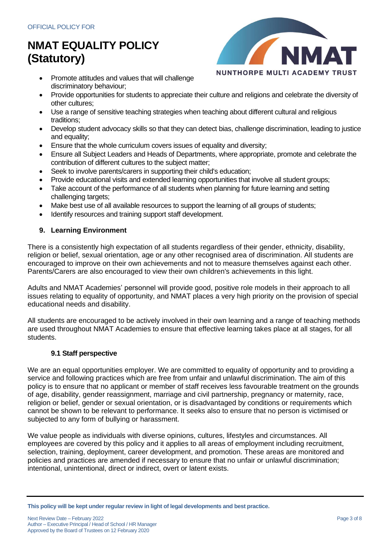

- Promote attitudes and values that will challenge discriminatory behaviour;
- Provide opportunities for students to appreciate their culture and religions and celebrate the diversity of other cultures;
- Use a range of sensitive teaching strategies when teaching about different cultural and religious traditions;
- Develop student advocacy skills so that they can detect bias, challenge discrimination, leading to justice and equality;
- Ensure that the whole curriculum covers issues of equality and diversity;
- Ensure all Subject Leaders and Heads of Departments, where appropriate, promote and celebrate the contribution of different cultures to the subject matter;
- Seek to involve parents/carers in supporting their child's education;
- Provide educational visits and extended learning opportunities that involve all student groups;
- Take account of the performance of all students when planning for future learning and setting challenging targets;
- Make best use of all available resources to support the learning of all groups of students;
- Identify resources and training support staff development.

## **9. Learning Environment**

There is a consistently high expectation of all students regardless of their gender, ethnicity, disability, religion or belief, sexual orientation, age or any other recognised area of discrimination. All students are encouraged to improve on their own achievements and not to measure themselves against each other. Parents/Carers are also encouraged to view their own children's achievements in this light.

Adults and NMAT Academies' personnel will provide good, positive role models in their approach to all issues relating to equality of opportunity, and NMAT places a very high priority on the provision of special educational needs and disability.

All students are encouraged to be actively involved in their own learning and a range of teaching methods are used throughout NMAT Academies to ensure that effective learning takes place at all stages, for all students.

## **9.1 Staff perspective**

We are an equal opportunities employer. We are committed to equality of opportunity and to providing a service and following practices which are free from unfair and unlawful discrimination. The aim of this policy is to ensure that no applicant or member of staff receives less favourable treatment on the grounds of age, disability, gender reassignment, marriage and civil partnership, pregnancy or maternity, race, religion or belief, gender or sexual orientation, or is disadvantaged by conditions or requirements which cannot be shown to be relevant to performance. It seeks also to ensure that no person is victimised or subjected to any form of bullying or harassment.

We value people as individuals with diverse opinions, cultures, lifestyles and circumstances. All employees are covered by this policy and it applies to all areas of employment including recruitment, selection, training, deployment, career development, and promotion. These areas are monitored and policies and practices are amended if necessary to ensure that no unfair or unlawful discrimination; intentional, unintentional, direct or indirect, overt or latent exists.

**This policy will be kept under regular review in light of legal developments and best practice.**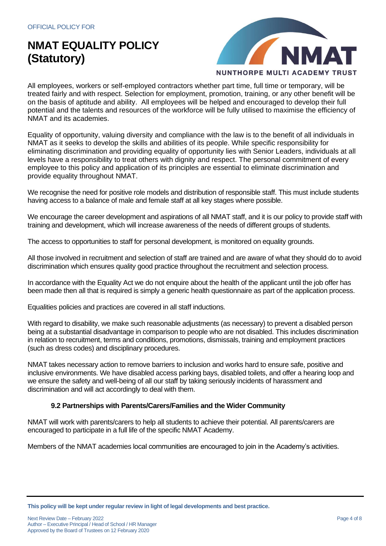

All employees, workers or self-employed contractors whether part time, full time or temporary, will be treated fairly and with respect. Selection for employment, promotion, training, or any other benefit will be on the basis of aptitude and ability. All employees will be helped and encouraged to develop their full potential and the talents and resources of the workforce will be fully utilised to maximise the efficiency of NMAT and its academies.

Equality of opportunity, valuing diversity and compliance with the law is to the benefit of all individuals in NMAT as it seeks to develop the skills and abilities of its people. While specific responsibility for eliminating discrimination and providing equality of opportunity lies with Senior Leaders, individuals at all levels have a responsibility to treat others with dignity and respect. The personal commitment of every employee to this policy and application of its principles are essential to eliminate discrimination and provide equality throughout NMAT.

We recognise the need for positive role models and distribution of responsible staff. This must include students having access to a balance of male and female staff at all key stages where possible.

We encourage the career development and aspirations of all NMAT staff, and it is our policy to provide staff with training and development, which will increase awareness of the needs of different groups of students.

The access to opportunities to staff for personal development, is monitored on equality grounds.

All those involved in recruitment and selection of staff are trained and are aware of what they should do to avoid discrimination which ensures quality good practice throughout the recruitment and selection process.

In accordance with the Equality Act we do not enquire about the health of the applicant until the job offer has been made then all that is required is simply a generic health questionnaire as part of the application process.

Equalities policies and practices are covered in all staff inductions.

With regard to disability, we make such reasonable adjustments (as necessary) to prevent a disabled person being at a substantial disadvantage in comparison to people who are not disabled. This includes discrimination in relation to recruitment, terms and conditions, promotions, dismissals, training and employment practices (such as dress codes) and disciplinary procedures.

NMAT takes necessary action to remove barriers to inclusion and works hard to ensure safe, positive and inclusive environments. We have disabled access parking bays, disabled toilets, and offer a hearing loop and we ensure the safety and well-being of all our staff by taking seriously incidents of harassment and discrimination and will act accordingly to deal with them.

### **9.2 Partnerships with Parents/Carers/Families and the Wider Community**

NMAT will work with parents/carers to help all students to achieve their potential. All parents/carers are encouraged to participate in a full life of the specific NMAT Academy.

Members of the NMAT academies local communities are encouraged to join in the Academy's activities.

**This policy will be kept under regular review in light of legal developments and best practice.**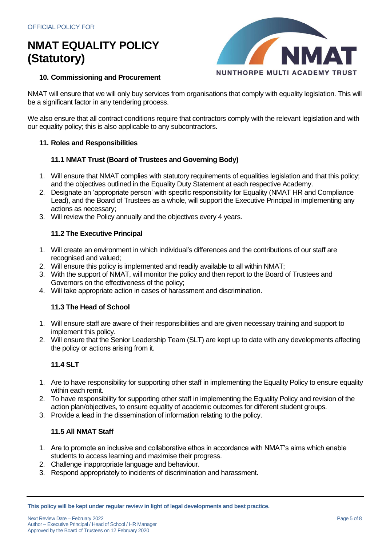

### **10. Commissioning and Procurement**

NMAT will ensure that we will only buy services from organisations that comply with equality legislation. This will be a significant factor in any tendering process.

We also ensure that all contract conditions require that contractors comply with the relevant legislation and with our equality policy; this is also applicable to any subcontractors.

### **11. Roles and Responsibilities**

### **11.1 NMAT Trust (Board of Trustees and Governing Body)**

- 1. Will ensure that NMAT complies with statutory requirements of equalities legislation and that this policy; and the objectives outlined in the Equality Duty Statement at each respective Academy.
- 2. Designate an 'appropriate person' with specific responsibility for Equality (NMAT HR and Compliance Lead), and the Board of Trustees as a whole, will support the Executive Principal in implementing any actions as necessary;
- 3. Will review the Policy annually and the objectives every 4 years.

### **11.2 The Executive Principal**

- 1. Will create an environment in which individual's differences and the contributions of our staff are recognised and valued;
- 2. Will ensure this policy is implemented and readily available to all within NMAT;
- 3. With the support of NMAT, will monitor the policy and then report to the Board of Trustees and Governors on the effectiveness of the policy;
- 4. Will take appropriate action in cases of harassment and discrimination.

### **11.3 The Head of School**

- 1. Will ensure staff are aware of their responsibilities and are given necessary training and support to implement this policy.
- 2. Will ensure that the Senior Leadership Team (SLT) are kept up to date with any developments affecting the policy or actions arising from it.

## **11.4 SLT**

- 1. Are to have responsibility for supporting other staff in implementing the Equality Policy to ensure equality within each remit.
- 2. To have responsibility for supporting other staff in implementing the Equality Policy and revision of the action plan/objectives, to ensure equality of academic outcomes for different student groups.
- 3. Provide a lead in the dissemination of information relating to the policy.

## **11.5 All NMAT Staff**

- 1. Are to promote an inclusive and collaborative ethos in accordance with NMAT's aims which enable students to access learning and maximise their progress.
- 2. Challenge inappropriate language and behaviour.
- 3. Respond appropriately to incidents of discrimination and harassment.

**This policy will be kept under regular review in light of legal developments and best practice.**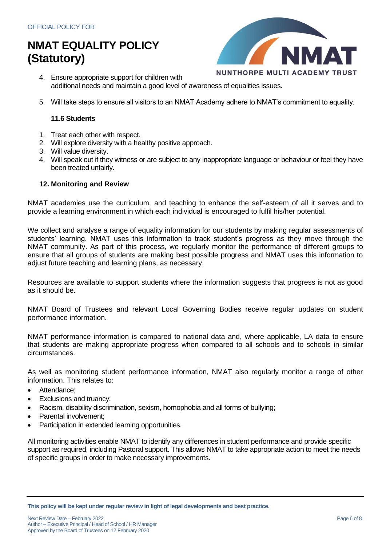

- 4. Ensure appropriate support for children with additional needs and maintain a good level of awareness of equalities issues.
- 5. Will take steps to ensure all visitors to an NMAT Academy adhere to NMAT's commitment to equality.

### **11.6 Students**

- 1. Treat each other with respect.
- 2. Will explore diversity with a healthy positive approach.
- 3. Will value diversity.
- 4. Will speak out if they witness or are subject to any inappropriate language or behaviour or feel they have been treated unfairly.

### **12. Monitoring and Review**

NMAT academies use the curriculum, and teaching to enhance the self-esteem of all it serves and to provide a learning environment in which each individual is encouraged to fulfil his/her potential.

We collect and analyse a range of equality information for our students by making regular assessments of students' learning. NMAT uses this information to track student's progress as they move through the NMAT community. As part of this process, we regularly monitor the performance of different groups to ensure that all groups of students are making best possible progress and NMAT uses this information to adjust future teaching and learning plans, as necessary.

Resources are available to support students where the information suggests that progress is not as good as it should be.

NMAT Board of Trustees and relevant Local Governing Bodies receive regular updates on student performance information.

NMAT performance information is compared to national data and, where applicable, LA data to ensure that students are making appropriate progress when compared to all schools and to schools in similar circumstances.

As well as monitoring student performance information, NMAT also regularly monitor a range of other information. This relates to:

- Attendance;
- Exclusions and truancy;
- Racism, disability discrimination, sexism, homophobia and all forms of bullying;
- Parental involvement:
- Participation in extended learning opportunities.

All monitoring activities enable NMAT to identify any differences in student performance and provide specific support as required, including Pastoral support. This allows NMAT to take appropriate action to meet the needs of specific groups in order to make necessary improvements.

**This policy will be kept under regular review in light of legal developments and best practice.**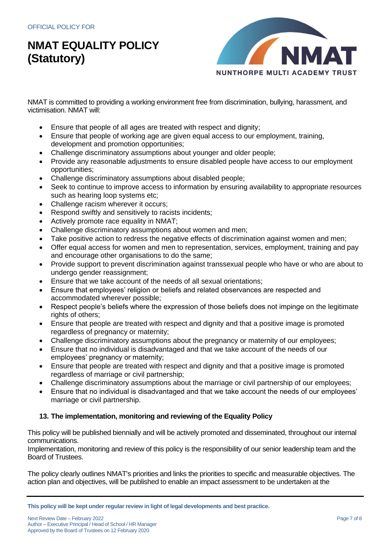

NMAT is committed to providing a working environment free from discrimination, bullying, harassment, and victimisation. NMAT will:

- Ensure that people of all ages are treated with respect and dignity;
- Ensure that people of working age are given equal access to our employment, training, development and promotion opportunities;
- Challenge discriminatory assumptions about younger and older people;
- Provide any reasonable adjustments to ensure disabled people have access to our employment opportunities;
- Challenge discriminatory assumptions about disabled people;
- Seek to continue to improve access to information by ensuring availability to appropriate resources such as hearing loop systems etc;
- Challenge racism wherever it occurs;
- Respond swiftly and sensitively to racists incidents;
- Actively promote race equality in NMAT;
- Challenge discriminatory assumptions about women and men;
- Take positive action to redress the negative effects of discrimination against women and men;
- Offer equal access for women and men to representation, services, employment, training and pay and encourage other organisations to do the same;
- Provide support to prevent discrimination against transsexual people who have or who are about to undergo gender reassignment;
- Ensure that we take account of the needs of all sexual orientations;
- Ensure that employees' religion or beliefs and related observances are respected and accommodated wherever possible;
- Respect people's beliefs where the expression of those beliefs does not impinge on the legitimate rights of others;
- Ensure that people are treated with respect and dignity and that a positive image is promoted regardless of pregnancy or maternity;
- Challenge discriminatory assumptions about the pregnancy or maternity of our employees;
- Ensure that no individual is disadvantaged and that we take account of the needs of our employees' pregnancy or maternity;
- Ensure that people are treated with respect and dignity and that a positive image is promoted regardless of marriage or civil partnership;
- Challenge discriminatory assumptions about the marriage or civil partnership of our employees;
- Ensure that no individual is disadvantaged and that we take account the needs of our employees' marriage or civil partnership.

### **13. The implementation, monitoring and reviewing of the Equality Policy**

This policy will be published biennially and will be actively promoted and disseminated, throughout our internal communications.

Implementation, monitoring and review of this policy is the responsibility of our senior leadership team and the Board of Trustees.

The policy clearly outlines NMAT's priorities and links the priorities to specific and measurable objectives. The action plan and objectives, will be published to enable an impact assessment to be undertaken at the

**This policy will be kept under regular review in light of legal developments and best practice.**